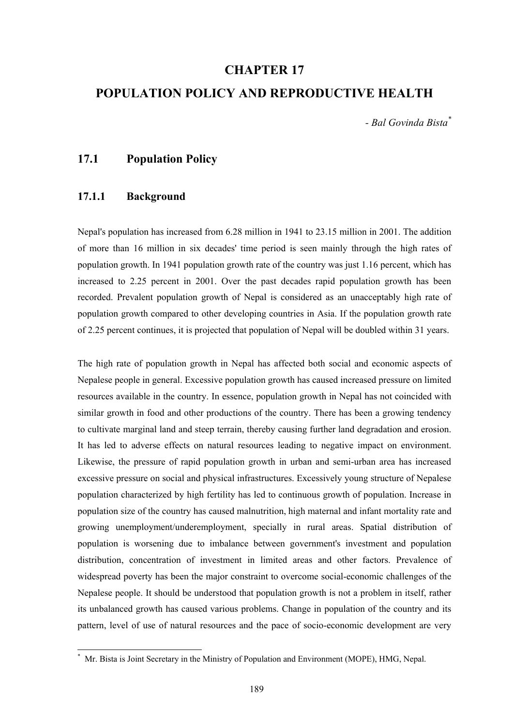# **CHAPTER 17**

# **POPULATION POLICY AND REPRODUCTIVE HEALTH**

*- Bal Govinda Bista\**

# **17.1 Population Policy**

## **17.1.1 Background**

 $\overline{\phantom{a}}$ 

Nepal's population has increased from 6.28 million in 1941 to 23.15 million in 2001. The addition of more than 16 million in six decades' time period is seen mainly through the high rates of population growth. In 1941 population growth rate of the country was just 1.16 percent, which has increased to 2.25 percent in 2001. Over the past decades rapid population growth has been recorded. Prevalent population growth of Nepal is considered as an unacceptably high rate of population growth compared to other developing countries in Asia. If the population growth rate of 2.25 percent continues, it is projected that population of Nepal will be doubled within 31 years.

The high rate of population growth in Nepal has affected both social and economic aspects of Nepalese people in general. Excessive population growth has caused increased pressure on limited resources available in the country. In essence, population growth in Nepal has not coincided with similar growth in food and other productions of the country. There has been a growing tendency to cultivate marginal land and steep terrain, thereby causing further land degradation and erosion. It has led to adverse effects on natural resources leading to negative impact on environment. Likewise, the pressure of rapid population growth in urban and semi-urban area has increased excessive pressure on social and physical infrastructures. Excessively young structure of Nepalese population characterized by high fertility has led to continuous growth of population. Increase in population size of the country has caused malnutrition, high maternal and infant mortality rate and growing unemployment/underemployment, specially in rural areas. Spatial distribution of population is worsening due to imbalance between government's investment and population distribution, concentration of investment in limited areas and other factors. Prevalence of widespread poverty has been the major constraint to overcome social-economic challenges of the Nepalese people. It should be understood that population growth is not a problem in itself, rather its unbalanced growth has caused various problems. Change in population of the country and its pattern, level of use of natural resources and the pace of socio-economic development are very

<sup>\*</sup> Mr. Bista is Joint Secretary in the Ministry of Population and Environment (MOPE), HMG, Nepal.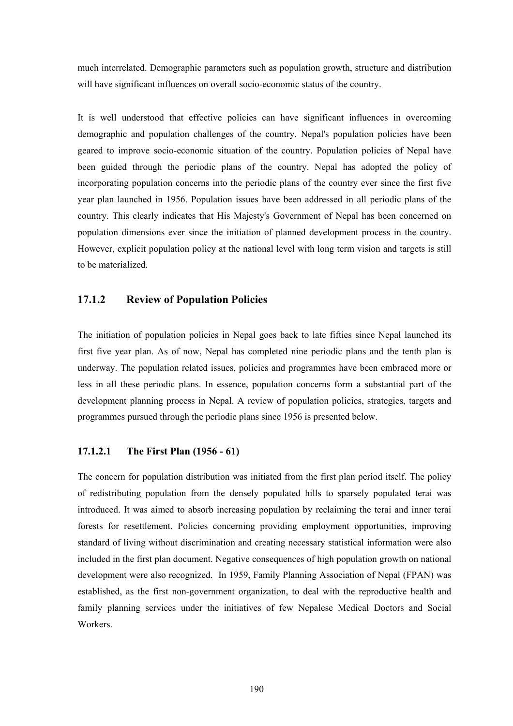much interrelated. Demographic parameters such as population growth, structure and distribution will have significant influences on overall socio-economic status of the country.

It is well understood that effective policies can have significant influences in overcoming demographic and population challenges of the country. Nepal's population policies have been geared to improve socio-economic situation of the country. Population policies of Nepal have been guided through the periodic plans of the country. Nepal has adopted the policy of incorporating population concerns into the periodic plans of the country ever since the first five year plan launched in 1956. Population issues have been addressed in all periodic plans of the country. This clearly indicates that His Majesty's Government of Nepal has been concerned on population dimensions ever since the initiation of planned development process in the country. However, explicit population policy at the national level with long term vision and targets is still to be materialized.

# **17.1.2 Review of Population Policies**

The initiation of population policies in Nepal goes back to late fifties since Nepal launched its first five year plan. As of now, Nepal has completed nine periodic plans and the tenth plan is underway. The population related issues, policies and programmes have been embraced more or less in all these periodic plans. In essence, population concerns form a substantial part of the development planning process in Nepal. A review of population policies, strategies, targets and programmes pursued through the periodic plans since 1956 is presented below.

# **17.1.2.1 The First Plan (1956 - 61)**

The concern for population distribution was initiated from the first plan period itself. The policy of redistributing population from the densely populated hills to sparsely populated terai was introduced. It was aimed to absorb increasing population by reclaiming the terai and inner terai forests for resettlement. Policies concerning providing employment opportunities, improving standard of living without discrimination and creating necessary statistical information were also included in the first plan document. Negative consequences of high population growth on national development were also recognized. In 1959, Family Planning Association of Nepal (FPAN) was established, as the first non-government organization, to deal with the reproductive health and family planning services under the initiatives of few Nepalese Medical Doctors and Social **Workers**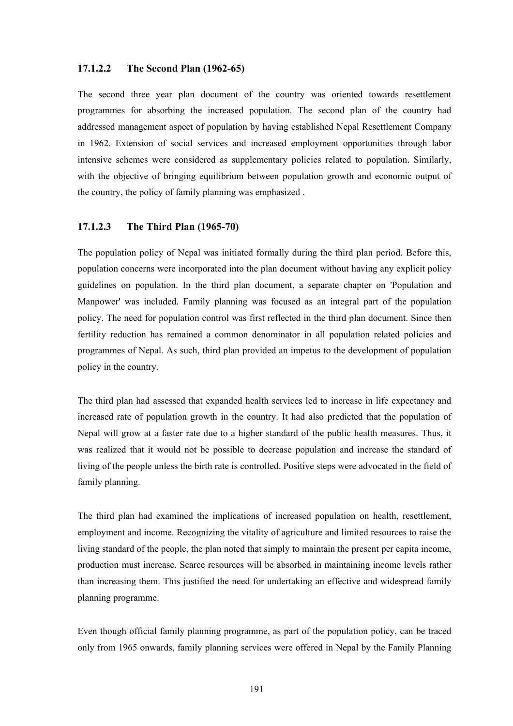#### **17.1.2.2 The Second Plan (1962-65)**

The second three year plan document of the country was oriented towards resettlement programmes for absorbing the increased population. The second plan of the country had addressed management aspect of population by having established Nepal Resettlement Company in 1962. Extension of social services and increased employment opportunities through labor intensive schemes were considered as supplementary policies related to population. Similarly, with the objective of bringing equilibrium between population growth and economic output of the country, the policy of family planning was emphasized .

### **17.1.2.3 The Third Plan (1965-70)**

The population policy of Nepal was initiated formally during the third plan period. Before this, population concerns were incorporated into the plan document without having any explicit policy guidelines on population. In the third plan document, a separate chapter on 'Population and Manpower' was included. Family planning was focused as an integral part of the population policy. The need for population control was first reflected in the third plan document. Since then fertility reduction has remained a common denominator in all population related policies and programmes of Nepal. As such, third plan provided an impetus to the development of population policy in the country.

The third plan had assessed that expanded health services led to increase in life expectancy and increased rate of population growth in the country. It had also predicted that the population of Nepal will grow at a faster rate due to a higher standard of the public health measures. Thus, it was realized that it would not be possible to decrease population and increase the standard of living of the people unless the birth rate is controlled. Positive steps were advocated in the field of family planning.

The third plan had examined the implications of increased population on health, resettlement, employment and income. Recognizing the vitality of agriculture and limited resources to raise the living standard of the people, the plan noted that simply to maintain the present per capita income, production must increase. Scarce resources will be absorbed in maintaining income levels rather than increasing them. This justified the need for undertaking an effective and widespread family planning programme.

Even though official family planning programme, as part of the population policy, can be traced only from 1965 onwards, family planning services were offered in Nepal by the Family Planning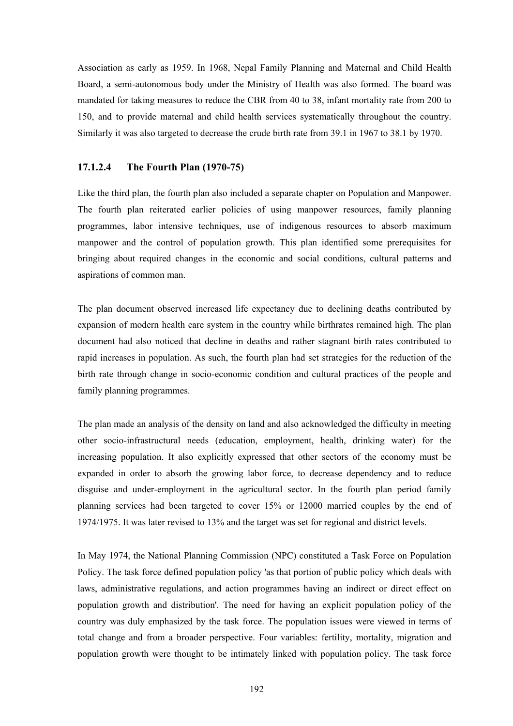Association as early as 1959. In 1968, Nepal Family Planning and Maternal and Child Health Board, a semi-autonomous body under the Ministry of Health was also formed. The board was mandated for taking measures to reduce the CBR from 40 to 38, infant mortality rate from 200 to 150, and to provide maternal and child health services systematically throughout the country. Similarly it was also targeted to decrease the crude birth rate from 39.1 in 1967 to 38.1 by 1970.

#### **17.1.2.4 The Fourth Plan (1970-75)**

Like the third plan, the fourth plan also included a separate chapter on Population and Manpower. The fourth plan reiterated earlier policies of using manpower resources, family planning programmes, labor intensive techniques, use of indigenous resources to absorb maximum manpower and the control of population growth. This plan identified some prerequisites for bringing about required changes in the economic and social conditions, cultural patterns and aspirations of common man.

The plan document observed increased life expectancy due to declining deaths contributed by expansion of modern health care system in the country while birthrates remained high. The plan document had also noticed that decline in deaths and rather stagnant birth rates contributed to rapid increases in population. As such, the fourth plan had set strategies for the reduction of the birth rate through change in socio-economic condition and cultural practices of the people and family planning programmes.

The plan made an analysis of the density on land and also acknowledged the difficulty in meeting other socio-infrastructural needs (education, employment, health, drinking water) for the increasing population. It also explicitly expressed that other sectors of the economy must be expanded in order to absorb the growing labor force, to decrease dependency and to reduce disguise and under-employment in the agricultural sector. In the fourth plan period family planning services had been targeted to cover 15% or 12000 married couples by the end of 1974/1975. It was later revised to 13% and the target was set for regional and district levels.

In May 1974, the National Planning Commission (NPC) constituted a Task Force on Population Policy. The task force defined population policy 'as that portion of public policy which deals with laws, administrative regulations, and action programmes having an indirect or direct effect on population growth and distribution'. The need for having an explicit population policy of the country was duly emphasized by the task force. The population issues were viewed in terms of total change and from a broader perspective. Four variables: fertility, mortality, migration and population growth were thought to be intimately linked with population policy. The task force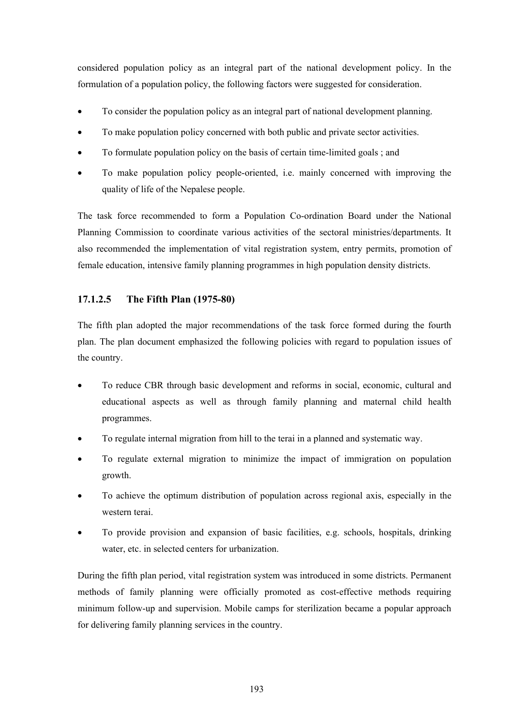considered population policy as an integral part of the national development policy. In the formulation of a population policy, the following factors were suggested for consideration.

- To consider the population policy as an integral part of national development planning.
- To make population policy concerned with both public and private sector activities.
- To formulate population policy on the basis of certain time-limited goals ; and
- To make population policy people-oriented, i.e. mainly concerned with improving the quality of life of the Nepalese people.

The task force recommended to form a Population Co-ordination Board under the National Planning Commission to coordinate various activities of the sectoral ministries/departments. It also recommended the implementation of vital registration system, entry permits, promotion of female education, intensive family planning programmes in high population density districts.

## **17.1.2.5 The Fifth Plan (1975-80)**

The fifth plan adopted the major recommendations of the task force formed during the fourth plan. The plan document emphasized the following policies with regard to population issues of the country.

- To reduce CBR through basic development and reforms in social, economic, cultural and educational aspects as well as through family planning and maternal child health programmes.
- To regulate internal migration from hill to the terai in a planned and systematic way.
- To regulate external migration to minimize the impact of immigration on population growth.
- To achieve the optimum distribution of population across regional axis, especially in the western terai.
- To provide provision and expansion of basic facilities, e.g. schools, hospitals, drinking water, etc. in selected centers for urbanization.

During the fifth plan period, vital registration system was introduced in some districts. Permanent methods of family planning were officially promoted as cost-effective methods requiring minimum follow-up and supervision. Mobile camps for sterilization became a popular approach for delivering family planning services in the country.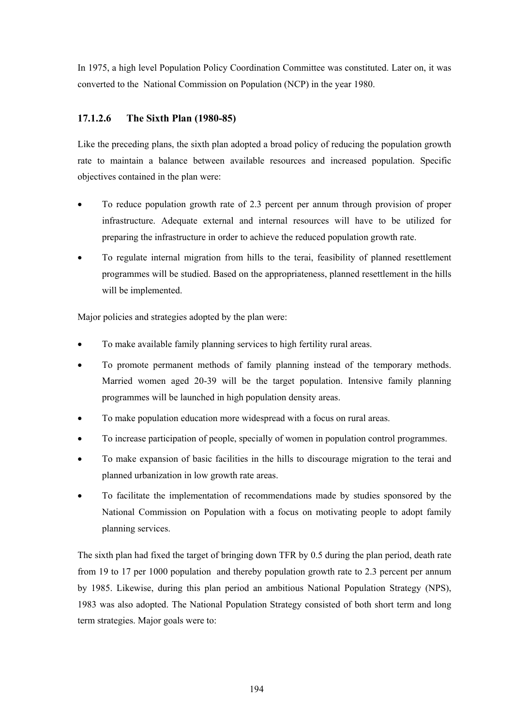In 1975, a high level Population Policy Coordination Committee was constituted. Later on, it was converted to the National Commission on Population (NCP) in the year 1980.

# **17.1.2.6 The Sixth Plan (1980-85)**

Like the preceding plans, the sixth plan adopted a broad policy of reducing the population growth rate to maintain a balance between available resources and increased population. Specific objectives contained in the plan were:

- To reduce population growth rate of 2.3 percent per annum through provision of proper infrastructure. Adequate external and internal resources will have to be utilized for preparing the infrastructure in order to achieve the reduced population growth rate.
- To regulate internal migration from hills to the terai, feasibility of planned resettlement programmes will be studied. Based on the appropriateness, planned resettlement in the hills will be implemented.

Major policies and strategies adopted by the plan were:

- To make available family planning services to high fertility rural areas.
- To promote permanent methods of family planning instead of the temporary methods. Married women aged 20-39 will be the target population. Intensive family planning programmes will be launched in high population density areas.
- To make population education more widespread with a focus on rural areas.
- To increase participation of people, specially of women in population control programmes.
- To make expansion of basic facilities in the hills to discourage migration to the terai and planned urbanization in low growth rate areas.
- To facilitate the implementation of recommendations made by studies sponsored by the National Commission on Population with a focus on motivating people to adopt family planning services.

The sixth plan had fixed the target of bringing down TFR by 0.5 during the plan period, death rate from 19 to 17 per 1000 population and thereby population growth rate to 2.3 percent per annum by 1985. Likewise, during this plan period an ambitious National Population Strategy (NPS), 1983 was also adopted. The National Population Strategy consisted of both short term and long term strategies. Major goals were to: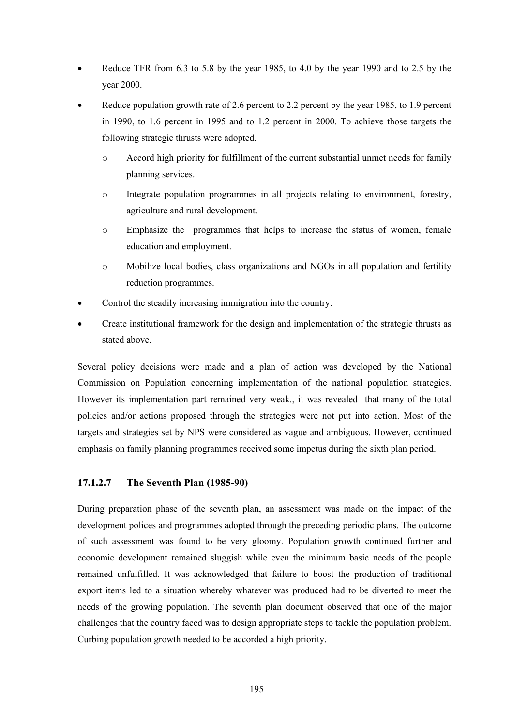- Reduce TFR from 6.3 to 5.8 by the year 1985, to 4.0 by the year 1990 and to 2.5 by the year 2000.
- Reduce population growth rate of 2.6 percent to 2.2 percent by the year 1985, to 1.9 percent in 1990, to 1.6 percent in 1995 and to 1.2 percent in 2000. To achieve those targets the following strategic thrusts were adopted.
	- o Accord high priority for fulfillment of the current substantial unmet needs for family planning services.
	- o Integrate population programmes in all projects relating to environment, forestry, agriculture and rural development.
	- o Emphasize the programmes that helps to increase the status of women, female education and employment.
	- o Mobilize local bodies, class organizations and NGOs in all population and fertility reduction programmes.
- Control the steadily increasing immigration into the country.
- Create institutional framework for the design and implementation of the strategic thrusts as stated above.

Several policy decisions were made and a plan of action was developed by the National Commission on Population concerning implementation of the national population strategies. However its implementation part remained very weak., it was revealed that many of the total policies and/or actions proposed through the strategies were not put into action. Most of the targets and strategies set by NPS were considered as vague and ambiguous. However, continued emphasis on family planning programmes received some impetus during the sixth plan period.

### **17.1.2.7 The Seventh Plan (1985-90)**

During preparation phase of the seventh plan, an assessment was made on the impact of the development polices and programmes adopted through the preceding periodic plans. The outcome of such assessment was found to be very gloomy. Population growth continued further and economic development remained sluggish while even the minimum basic needs of the people remained unfulfilled. It was acknowledged that failure to boost the production of traditional export items led to a situation whereby whatever was produced had to be diverted to meet the needs of the growing population. The seventh plan document observed that one of the major challenges that the country faced was to design appropriate steps to tackle the population problem. Curbing population growth needed to be accorded a high priority.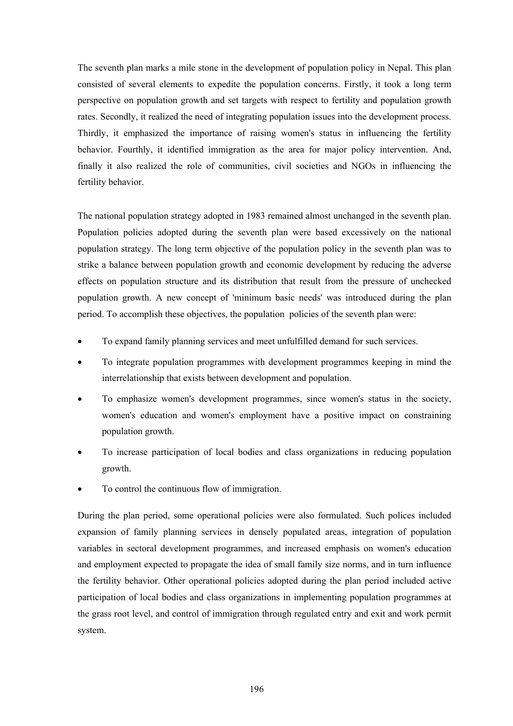The seventh plan marks a mile stone in the development of population policy in Nepal. This plan consisted of several elements to expedite the population concerns. Firstly, it took a long term perspective on population growth and set targets with respect to fertility and population growth rates. Secondly, it realized the need of integrating population issues into the development process. Thirdly, it emphasized the importance of raising women's status in influencing the fertility behavior. Fourthly, it identified immigration as the area for major policy intervention. And, finally it also realized the role of communities, civil societies and NGOs in influencing the fertility behavior.

The national population strategy adopted in 1983 remained almost unchanged in the seventh plan. Population policies adopted during the seventh plan were based excessively on the national population strategy. The long term objective of the population policy in the seventh plan was to strike a balance between population growth and economic development by reducing the adverse effects on population structure and its distribution that result from the pressure of unchecked population growth. A new concept of 'minimum basic needs' was introduced during the plan period. To accomplish these objectives, the population policies of the seventh plan were:

- To expand family planning services and meet unfulfilled demand for such services.
- To integrate population programmes with development programmes keeping in mind the interrelationship that exists between development and population.
- To emphasize women's development programmes, since women's status in the society, women's education and women's employment have a positive impact on constraining population growth.
- To increase participation of local bodies and class organizations in reducing population growth.
- To control the continuous flow of immigration.

During the plan period, some operational policies were also formulated. Such polices included expansion of family planning services in densely populated areas, integration of population variables in sectoral development programmes, and increased emphasis on women's education and employment expected to propagate the idea of small family size norms, and in turn influence the fertility behavior. Other operational policies adopted during the plan period included active participation of local bodies and class organizations in implementing population programmes at the grass root level, and control of immigration through regulated entry and exit and work permit system.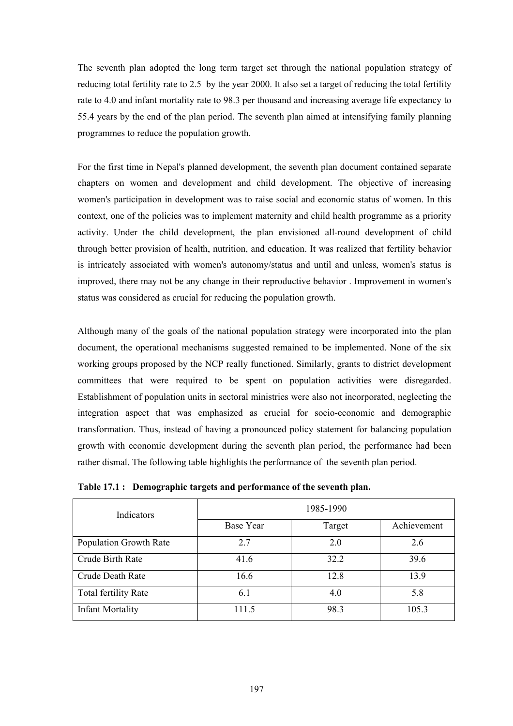The seventh plan adopted the long term target set through the national population strategy of reducing total fertility rate to 2.5 by the year 2000. It also set a target of reducing the total fertility rate to 4.0 and infant mortality rate to 98.3 per thousand and increasing average life expectancy to 55.4 years by the end of the plan period. The seventh plan aimed at intensifying family planning programmes to reduce the population growth.

For the first time in Nepal's planned development, the seventh plan document contained separate chapters on women and development and child development. The objective of increasing women's participation in development was to raise social and economic status of women. In this context, one of the policies was to implement maternity and child health programme as a priority activity. Under the child development, the plan envisioned all-round development of child through better provision of health, nutrition, and education. It was realized that fertility behavior is intricately associated with women's autonomy/status and until and unless, women's status is improved, there may not be any change in their reproductive behavior . Improvement in women's status was considered as crucial for reducing the population growth.

Although many of the goals of the national population strategy were incorporated into the plan document, the operational mechanisms suggested remained to be implemented. None of the six working groups proposed by the NCP really functioned. Similarly, grants to district development committees that were required to be spent on population activities were disregarded. Establishment of population units in sectoral ministries were also not incorporated, neglecting the integration aspect that was emphasized as crucial for socio-economic and demographic transformation. Thus, instead of having a pronounced policy statement for balancing population growth with economic development during the seventh plan period, the performance had been rather dismal. The following table highlights the performance of the seventh plan period.

| Indicators                  | 1985-1990 |        |             |  |
|-----------------------------|-----------|--------|-------------|--|
|                             | Base Year | Target | Achievement |  |
| Population Growth Rate      | 2.7       | 2.0    | 2.6         |  |
| Crude Birth Rate            | 41.6      | 32.2   | 39.6        |  |
| Crude Death Rate            | 16.6      | 12.8   | 13.9        |  |
| <b>Total fertility Rate</b> | 6.1       | 4.0    | 5.8         |  |
| <b>Infant Mortality</b>     | 111.5     | 98.3   | 105.3       |  |

**Table 17.1 : Demographic targets and performance of the seventh plan.**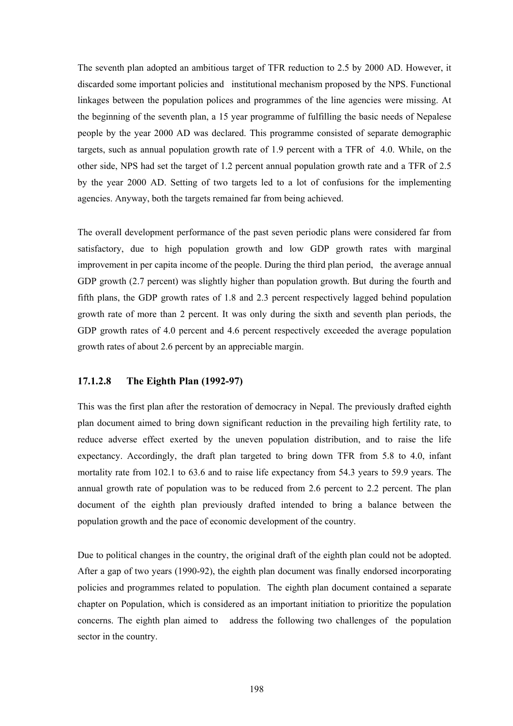The seventh plan adopted an ambitious target of TFR reduction to 2.5 by 2000 AD. However, it discarded some important policies and institutional mechanism proposed by the NPS. Functional linkages between the population polices and programmes of the line agencies were missing. At the beginning of the seventh plan, a 15 year programme of fulfilling the basic needs of Nepalese people by the year 2000 AD was declared. This programme consisted of separate demographic targets, such as annual population growth rate of 1.9 percent with a TFR of 4.0. While, on the other side, NPS had set the target of 1.2 percent annual population growth rate and a TFR of 2.5 by the year 2000 AD. Setting of two targets led to a lot of confusions for the implementing agencies. Anyway, both the targets remained far from being achieved.

The overall development performance of the past seven periodic plans were considered far from satisfactory, due to high population growth and low GDP growth rates with marginal improvement in per capita income of the people. During the third plan period, the average annual GDP growth (2.7 percent) was slightly higher than population growth. But during the fourth and fifth plans, the GDP growth rates of 1.8 and 2.3 percent respectively lagged behind population growth rate of more than 2 percent. It was only during the sixth and seventh plan periods, the GDP growth rates of 4.0 percent and 4.6 percent respectively exceeded the average population growth rates of about 2.6 percent by an appreciable margin.

#### **17.1.2.8 The Eighth Plan (1992-97)**

This was the first plan after the restoration of democracy in Nepal. The previously drafted eighth plan document aimed to bring down significant reduction in the prevailing high fertility rate, to reduce adverse effect exerted by the uneven population distribution, and to raise the life expectancy. Accordingly, the draft plan targeted to bring down TFR from 5.8 to 4.0, infant mortality rate from 102.1 to 63.6 and to raise life expectancy from 54.3 years to 59.9 years. The annual growth rate of population was to be reduced from 2.6 percent to 2.2 percent. The plan document of the eighth plan previously drafted intended to bring a balance between the population growth and the pace of economic development of the country.

Due to political changes in the country, the original draft of the eighth plan could not be adopted. After a gap of two years (1990-92), the eighth plan document was finally endorsed incorporating policies and programmes related to population. The eighth plan document contained a separate chapter on Population, which is considered as an important initiation to prioritize the population concerns. The eighth plan aimed to address the following two challenges of the population sector in the country.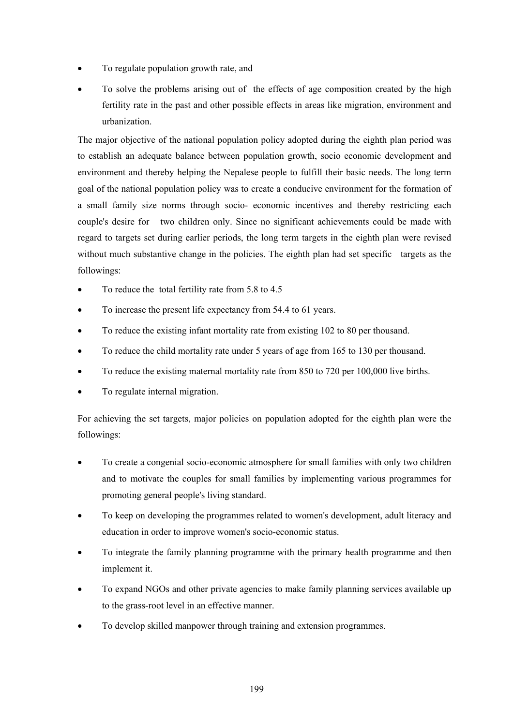- To regulate population growth rate, and
- To solve the problems arising out of the effects of age composition created by the high fertility rate in the past and other possible effects in areas like migration, environment and urbanization.

The major objective of the national population policy adopted during the eighth plan period was to establish an adequate balance between population growth, socio economic development and environment and thereby helping the Nepalese people to fulfill their basic needs. The long term goal of the national population policy was to create a conducive environment for the formation of a small family size norms through socio- economic incentives and thereby restricting each couple's desire for two children only. Since no significant achievements could be made with regard to targets set during earlier periods, the long term targets in the eighth plan were revised without much substantive change in the policies. The eighth plan had set specific targets as the followings:

- To reduce the total fertility rate from 5.8 to 4.5
- To increase the present life expectancy from 54.4 to 61 years.
- To reduce the existing infant mortality rate from existing 102 to 80 per thousand.
- To reduce the child mortality rate under 5 years of age from 165 to 130 per thousand.
- To reduce the existing maternal mortality rate from 850 to 720 per 100,000 live births.
- To regulate internal migration.

For achieving the set targets, major policies on population adopted for the eighth plan were the followings:

- To create a congenial socio-economic atmosphere for small families with only two children and to motivate the couples for small families by implementing various programmes for promoting general people's living standard.
- To keep on developing the programmes related to women's development, adult literacy and education in order to improve women's socio-economic status.
- To integrate the family planning programme with the primary health programme and then implement it.
- To expand NGOs and other private agencies to make family planning services available up to the grass-root level in an effective manner.
- To develop skilled manpower through training and extension programmes.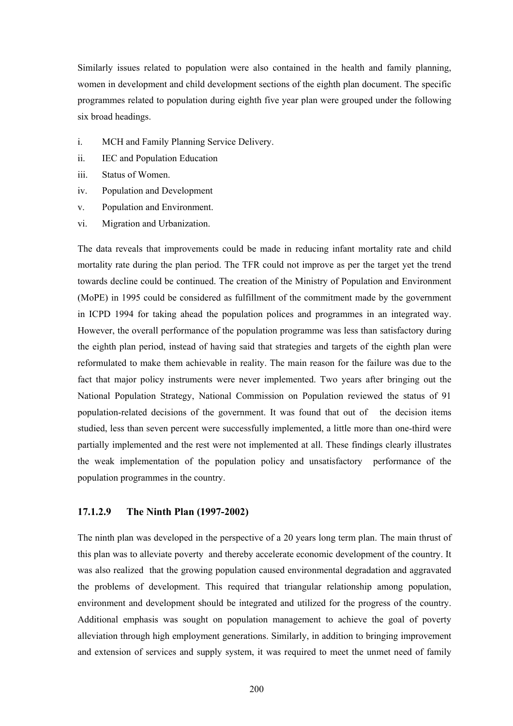Similarly issues related to population were also contained in the health and family planning, women in development and child development sections of the eighth plan document. The specific programmes related to population during eighth five year plan were grouped under the following six broad headings.

- i. MCH and Family Planning Service Delivery.
- ii. IEC and Population Education
- iii. Status of Women.
- iv. Population and Development
- v. Population and Environment.
- vi. Migration and Urbanization.

The data reveals that improvements could be made in reducing infant mortality rate and child mortality rate during the plan period. The TFR could not improve as per the target yet the trend towards decline could be continued. The creation of the Ministry of Population and Environment (MoPE) in 1995 could be considered as fulfillment of the commitment made by the government in ICPD 1994 for taking ahead the population polices and programmes in an integrated way. However, the overall performance of the population programme was less than satisfactory during the eighth plan period, instead of having said that strategies and targets of the eighth plan were reformulated to make them achievable in reality. The main reason for the failure was due to the fact that major policy instruments were never implemented. Two years after bringing out the National Population Strategy, National Commission on Population reviewed the status of 91 population-related decisions of the government. It was found that out of the decision items studied, less than seven percent were successfully implemented, a little more than one-third were partially implemented and the rest were not implemented at all. These findings clearly illustrates the weak implementation of the population policy and unsatisfactory performance of the population programmes in the country.

#### **17.1.2.9 The Ninth Plan (1997-2002)**

The ninth plan was developed in the perspective of a 20 years long term plan. The main thrust of this plan was to alleviate poverty and thereby accelerate economic development of the country. It was also realized that the growing population caused environmental degradation and aggravated the problems of development. This required that triangular relationship among population, environment and development should be integrated and utilized for the progress of the country. Additional emphasis was sought on population management to achieve the goal of poverty alleviation through high employment generations. Similarly, in addition to bringing improvement and extension of services and supply system, it was required to meet the unmet need of family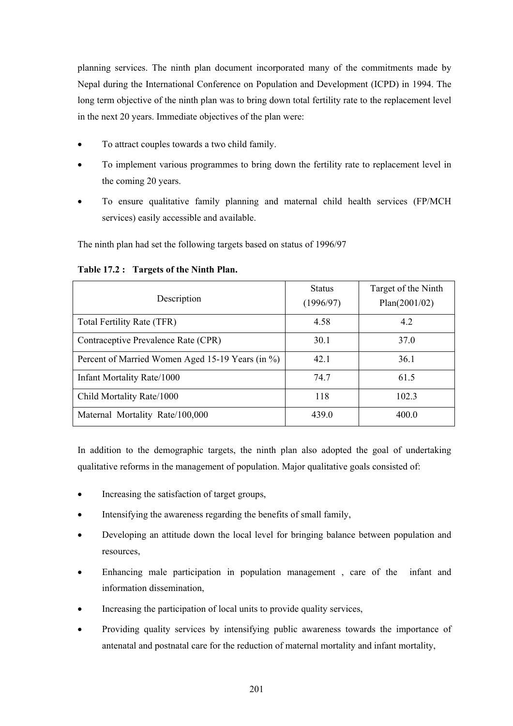planning services. The ninth plan document incorporated many of the commitments made by Nepal during the International Conference on Population and Development (ICPD) in 1994. The long term objective of the ninth plan was to bring down total fertility rate to the replacement level in the next 20 years. Immediate objectives of the plan were:

- To attract couples towards a two child family.
- To implement various programmes to bring down the fertility rate to replacement level in the coming 20 years.
- To ensure qualitative family planning and maternal child health services (FP/MCH services) easily accessible and available.

The ninth plan had set the following targets based on status of 1996/97

### **Table 17.2 : Targets of the Ninth Plan.**

| Description                                      | <b>Status</b><br>(1996/97) | Target of the Ninth<br>Plan(2001/02) |
|--------------------------------------------------|----------------------------|--------------------------------------|
| Total Fertility Rate (TFR)                       | 4.58                       | 4.2                                  |
| Contraceptive Prevalence Rate (CPR)              | 30.1                       | 37.0                                 |
| Percent of Married Women Aged 15-19 Years (in %) | 42.1                       | 36.1                                 |
| Infant Mortality Rate/1000                       | 74.7                       | 61.5                                 |
| Child Mortality Rate/1000                        | 118                        | 1023                                 |
| Maternal Mortality Rate/100,000                  | 439.0                      | 400.0                                |

In addition to the demographic targets, the ninth plan also adopted the goal of undertaking qualitative reforms in the management of population. Major qualitative goals consisted of:

- Increasing the satisfaction of target groups,
- Intensifying the awareness regarding the benefits of small family,
- Developing an attitude down the local level for bringing balance between population and resources,
- Enhancing male participation in population management , care of the infant and information dissemination,
- Increasing the participation of local units to provide quality services,
- Providing quality services by intensifying public awareness towards the importance of antenatal and postnatal care for the reduction of maternal mortality and infant mortality,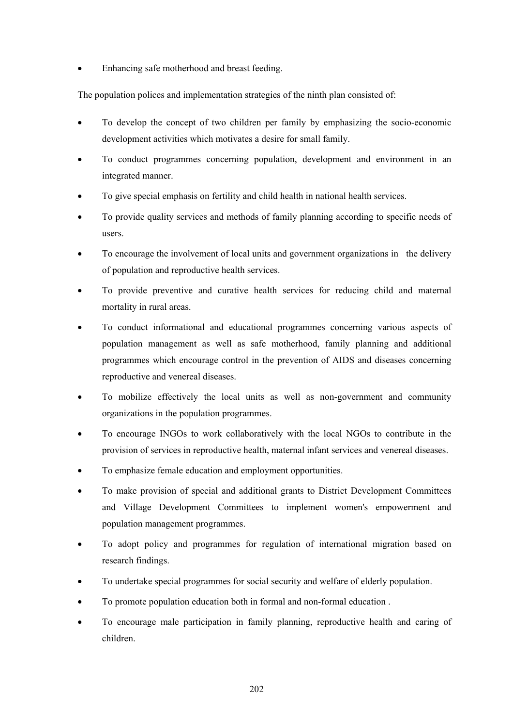• Enhancing safe motherhood and breast feeding.

The population polices and implementation strategies of the ninth plan consisted of:

- To develop the concept of two children per family by emphasizing the socio-economic development activities which motivates a desire for small family.
- To conduct programmes concerning population, development and environment in an integrated manner.
- To give special emphasis on fertility and child health in national health services.
- To provide quality services and methods of family planning according to specific needs of users.
- To encourage the involvement of local units and government organizations in the delivery of population and reproductive health services.
- To provide preventive and curative health services for reducing child and maternal mortality in rural areas.
- To conduct informational and educational programmes concerning various aspects of population management as well as safe motherhood, family planning and additional programmes which encourage control in the prevention of AIDS and diseases concerning reproductive and venereal diseases.
- To mobilize effectively the local units as well as non-government and community organizations in the population programmes.
- To encourage INGOs to work collaboratively with the local NGOs to contribute in the provision of services in reproductive health, maternal infant services and venereal diseases.
- To emphasize female education and employment opportunities.
- To make provision of special and additional grants to District Development Committees and Village Development Committees to implement women's empowerment and population management programmes.
- To adopt policy and programmes for regulation of international migration based on research findings.
- To undertake special programmes for social security and welfare of elderly population.
- To promote population education both in formal and non-formal education .
- To encourage male participation in family planning, reproductive health and caring of children.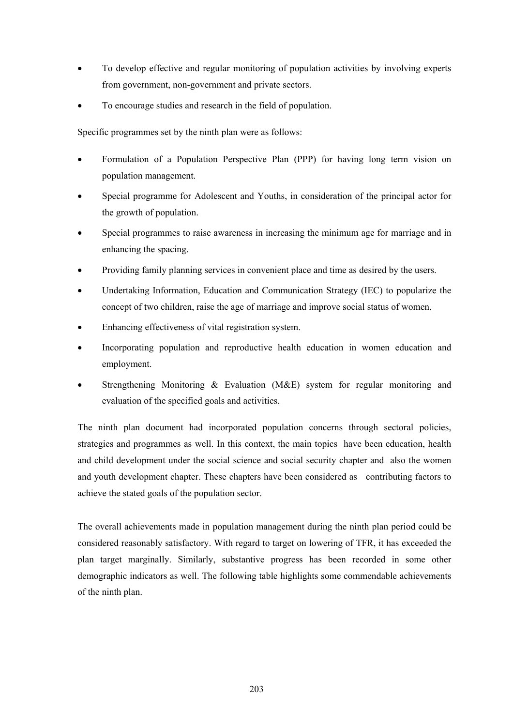- To develop effective and regular monitoring of population activities by involving experts from government, non-government and private sectors.
- To encourage studies and research in the field of population.

Specific programmes set by the ninth plan were as follows:

- Formulation of a Population Perspective Plan (PPP) for having long term vision on population management.
- Special programme for Adolescent and Youths, in consideration of the principal actor for the growth of population.
- Special programmes to raise awareness in increasing the minimum age for marriage and in enhancing the spacing.
- Providing family planning services in convenient place and time as desired by the users.
- Undertaking Information, Education and Communication Strategy (IEC) to popularize the concept of two children, raise the age of marriage and improve social status of women.
- Enhancing effectiveness of vital registration system.
- Incorporating population and reproductive health education in women education and employment.
- Strengthening Monitoring & Evaluation (M&E) system for regular monitoring and evaluation of the specified goals and activities.

The ninth plan document had incorporated population concerns through sectoral policies, strategies and programmes as well. In this context, the main topics have been education, health and child development under the social science and social security chapter and also the women and youth development chapter. These chapters have been considered as contributing factors to achieve the stated goals of the population sector.

The overall achievements made in population management during the ninth plan period could be considered reasonably satisfactory. With regard to target on lowering of TFR, it has exceeded the plan target marginally. Similarly, substantive progress has been recorded in some other demographic indicators as well. The following table highlights some commendable achievements of the ninth plan.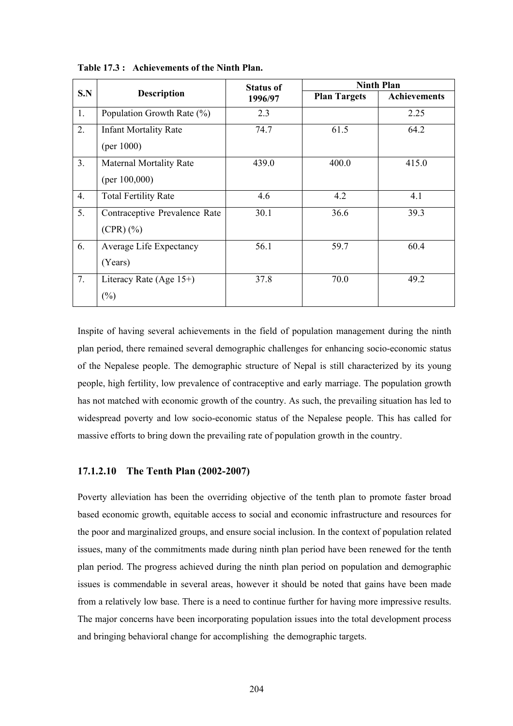| S.N |                                | <b>Status of</b> | <b>Ninth Plan</b>   |                     |  |
|-----|--------------------------------|------------------|---------------------|---------------------|--|
|     | <b>Description</b>             | 1996/97          | <b>Plan Targets</b> | <b>Achievements</b> |  |
| 1.  | Population Growth Rate (%)     | 2.3              |                     | 2.25                |  |
| 2.  | <b>Infant Mortality Rate</b>   | 74.7             | 61.5                | 64.2                |  |
|     | (per $1000$ )                  |                  |                     |                     |  |
| 3.  | <b>Maternal Mortality Rate</b> | 439.0            | 400.0               | 415.0               |  |
|     | (per $100,000$ )               |                  |                     |                     |  |
| 4.  | <b>Total Fertility Rate</b>    | 4.6              | 4.2                 | 4.1                 |  |
| 5.  | Contraceptive Prevalence Rate  | 30.1             | 36.6                | 39.3                |  |
|     | $(CPR)(\%)$                    |                  |                     |                     |  |
| 6.  | Average Life Expectancy        | 56.1             | 59.7                | 60.4                |  |
|     | (Years)                        |                  |                     |                     |  |
| 7.  | Literacy Rate (Age $15+$ )     | 37.8             | 70.0                | 49.2                |  |
|     | $(\%)$                         |                  |                     |                     |  |

**Table 17.3 : Achievements of the Ninth Plan.** 

Inspite of having several achievements in the field of population management during the ninth plan period, there remained several demographic challenges for enhancing socio-economic status of the Nepalese people. The demographic structure of Nepal is still characterized by its young people, high fertility, low prevalence of contraceptive and early marriage. The population growth has not matched with economic growth of the country. As such, the prevailing situation has led to widespread poverty and low socio-economic status of the Nepalese people. This has called for massive efforts to bring down the prevailing rate of population growth in the country.

#### **17.1.2.10 The Tenth Plan (2002-2007)**

Poverty alleviation has been the overriding objective of the tenth plan to promote faster broad based economic growth, equitable access to social and economic infrastructure and resources for the poor and marginalized groups, and ensure social inclusion. In the context of population related issues, many of the commitments made during ninth plan period have been renewed for the tenth plan period. The progress achieved during the ninth plan period on population and demographic issues is commendable in several areas, however it should be noted that gains have been made from a relatively low base. There is a need to continue further for having more impressive results. The major concerns have been incorporating population issues into the total development process and bringing behavioral change for accomplishing the demographic targets.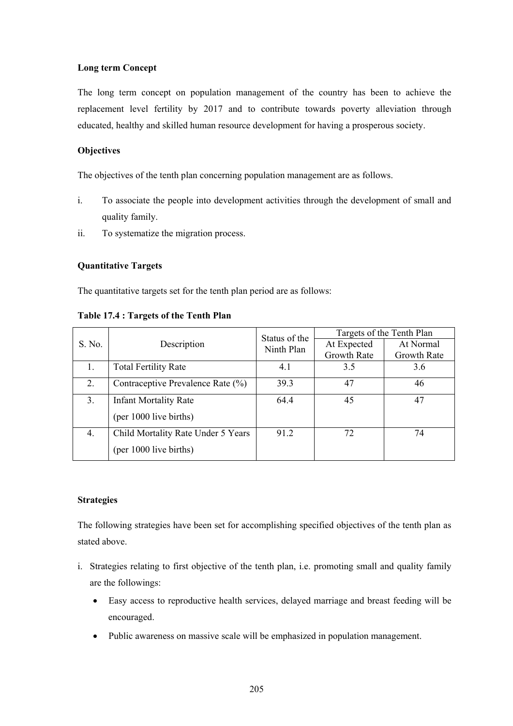#### **Long term Concept**

The long term concept on population management of the country has been to achieve the replacement level fertility by 2017 and to contribute towards poverty alleviation through educated, healthy and skilled human resource development for having a prosperous society.

### **Objectives**

The objectives of the tenth plan concerning population management are as follows.

- i. To associate the people into development activities through the development of small and quality family.
- ii. To systematize the migration process.

#### **Quantitative Targets**

The quantitative targets set for the tenth plan period are as follows:

|  | Table 17.4 : Targets of the Tenth Plan |  |  |
|--|----------------------------------------|--|--|
|  |                                        |  |  |

| S. No. | Description                        | Status of the | Targets of the Tenth Plan |             |  |
|--------|------------------------------------|---------------|---------------------------|-------------|--|
|        |                                    | Ninth Plan    | At Expected               | At Normal   |  |
|        |                                    |               | Growth Rate               | Growth Rate |  |
|        | <b>Total Fertility Rate</b>        | 4.1           | 3.5                       | 3.6         |  |
| 2.     | Contraceptive Prevalence Rate (%)  | 39.3          | 47                        | 46          |  |
| 3.     | <b>Infant Mortality Rate</b>       | 64.4          | 45                        | 47          |  |
|        | (per 1000 live births)             |               |                           |             |  |
| 4.     | Child Mortality Rate Under 5 Years | 91.2          | 72                        | 74          |  |
|        | (per 1000 live births)             |               |                           |             |  |

#### **Strategies**

The following strategies have been set for accomplishing specified objectives of the tenth plan as stated above.

- i. Strategies relating to first objective of the tenth plan, i.e. promoting small and quality family are the followings:
	- Easy access to reproductive health services, delayed marriage and breast feeding will be encouraged.
	- Public awareness on massive scale will be emphasized in population management.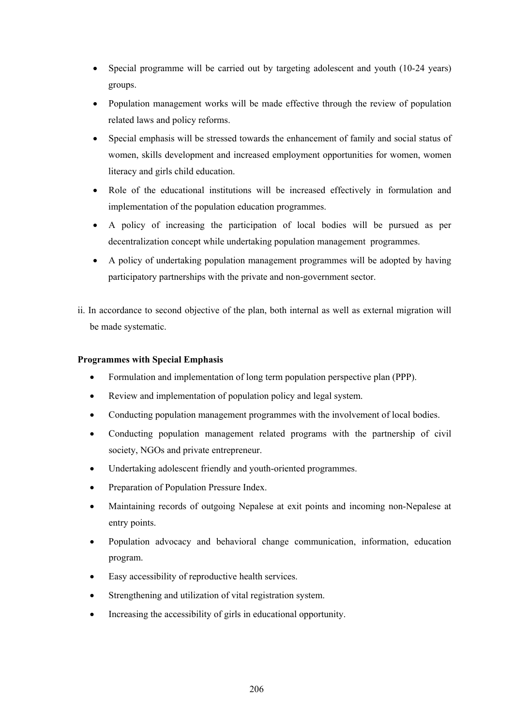- Special programme will be carried out by targeting adolescent and youth (10-24 years) groups.
- Population management works will be made effective through the review of population related laws and policy reforms.
- Special emphasis will be stressed towards the enhancement of family and social status of women, skills development and increased employment opportunities for women, women literacy and girls child education.
- Role of the educational institutions will be increased effectively in formulation and implementation of the population education programmes.
- A policy of increasing the participation of local bodies will be pursued as per decentralization concept while undertaking population management programmes.
- A policy of undertaking population management programmes will be adopted by having participatory partnerships with the private and non-government sector.
- ii. In accordance to second objective of the plan, both internal as well as external migration will be made systematic.

### **Programmes with Special Emphasis**

- Formulation and implementation of long term population perspective plan (PPP).
- Review and implementation of population policy and legal system.
- Conducting population management programmes with the involvement of local bodies.
- Conducting population management related programs with the partnership of civil society, NGOs and private entrepreneur.
- Undertaking adolescent friendly and youth-oriented programmes.
- Preparation of Population Pressure Index.
- Maintaining records of outgoing Nepalese at exit points and incoming non-Nepalese at entry points.
- Population advocacy and behavioral change communication, information, education program.
- Easy accessibility of reproductive health services.
- Strengthening and utilization of vital registration system.
- Increasing the accessibility of girls in educational opportunity.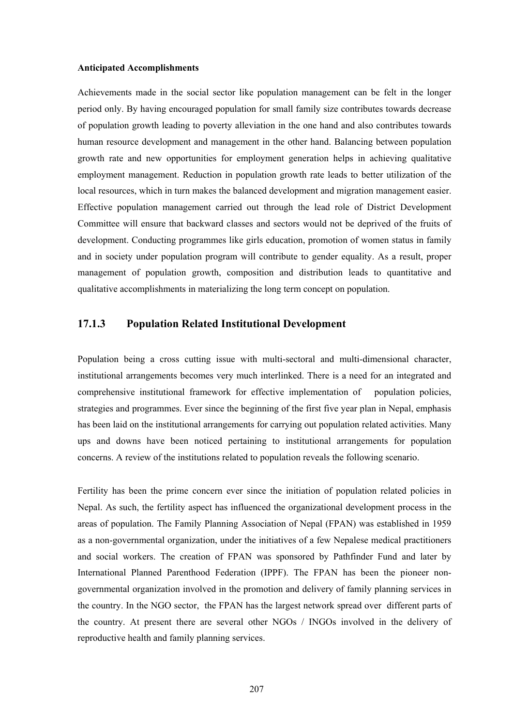#### **Anticipated Accomplishments**

Achievements made in the social sector like population management can be felt in the longer period only. By having encouraged population for small family size contributes towards decrease of population growth leading to poverty alleviation in the one hand and also contributes towards human resource development and management in the other hand. Balancing between population growth rate and new opportunities for employment generation helps in achieving qualitative employment management. Reduction in population growth rate leads to better utilization of the local resources, which in turn makes the balanced development and migration management easier. Effective population management carried out through the lead role of District Development Committee will ensure that backward classes and sectors would not be deprived of the fruits of development. Conducting programmes like girls education, promotion of women status in family and in society under population program will contribute to gender equality. As a result, proper management of population growth, composition and distribution leads to quantitative and qualitative accomplishments in materializing the long term concept on population.

### **17.1.3 Population Related Institutional Development**

Population being a cross cutting issue with multi-sectoral and multi-dimensional character, institutional arrangements becomes very much interlinked. There is a need for an integrated and comprehensive institutional framework for effective implementation of population policies, strategies and programmes. Ever since the beginning of the first five year plan in Nepal, emphasis has been laid on the institutional arrangements for carrying out population related activities. Many ups and downs have been noticed pertaining to institutional arrangements for population concerns. A review of the institutions related to population reveals the following scenario.

Fertility has been the prime concern ever since the initiation of population related policies in Nepal. As such, the fertility aspect has influenced the organizational development process in the areas of population. The Family Planning Association of Nepal (FPAN) was established in 1959 as a non-governmental organization, under the initiatives of a few Nepalese medical practitioners and social workers. The creation of FPAN was sponsored by Pathfinder Fund and later by International Planned Parenthood Federation (IPPF). The FPAN has been the pioneer nongovernmental organization involved in the promotion and delivery of family planning services in the country. In the NGO sector, the FPAN has the largest network spread over different parts of the country. At present there are several other NGOs / INGOs involved in the delivery of reproductive health and family planning services.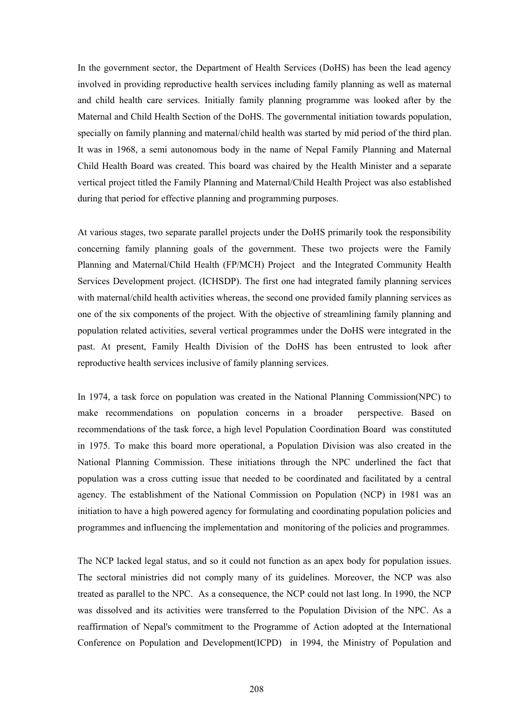In the government sector, the Department of Health Services (DoHS) has been the lead agency involved in providing reproductive health services including family planning as well as maternal and child health care services. Initially family planning programme was looked after by the Maternal and Child Health Section of the DoHS. The governmental initiation towards population, specially on family planning and maternal/child health was started by mid period of the third plan. It was in 1968, a semi autonomous body in the name of Nepal Family Planning and Maternal Child Health Board was created. This board was chaired by the Health Minister and a separate vertical project titled the Family Planning and Maternal/Child Health Project was also established during that period for effective planning and programming purposes.

At various stages, two separate parallel projects under the DoHS primarily took the responsibility concerning family planning goals of the government. These two projects were the Family Planning and Maternal/Child Health (FP/MCH) Project and the Integrated Community Health Services Development project. (ICHSDP). The first one had integrated family planning services with maternal/child health activities whereas, the second one provided family planning services as one of the six components of the project. With the objective of streamlining family planning and population related activities, several vertical programmes under the DoHS were integrated in the past. At present, Family Health Division of the DoHS has been entrusted to look after reproductive health services inclusive of family planning services.

In 1974, a task force on population was created in the National Planning Commission(NPC) to make recommendations on population concerns in a broader perspective. Based on recommendations of the task force, a high level Population Coordination Board was constituted in 1975. To make this board more operational, a Population Division was also created in the National Planning Commission. These initiations through the NPC underlined the fact that population was a cross cutting issue that needed to be coordinated and facilitated by a central agency. The establishment of the National Commission on Population (NCP) in 1981 was an initiation to have a high powered agency for formulating and coordinating population policies and programmes and influencing the implementation and monitoring of the policies and programmes.

The NCP lacked legal status, and so it could not function as an apex body for population issues. The sectoral ministries did not comply many of its guidelines. Moreover, the NCP was also treated as parallel to the NPC. As a consequence, the NCP could not last long. In 1990, the NCP was dissolved and its activities were transferred to the Population Division of the NPC. As a reaffirmation of Nepal's commitment to the Programme of Action adopted at the International Conference on Population and Development(ICPD) in 1994, the Ministry of Population and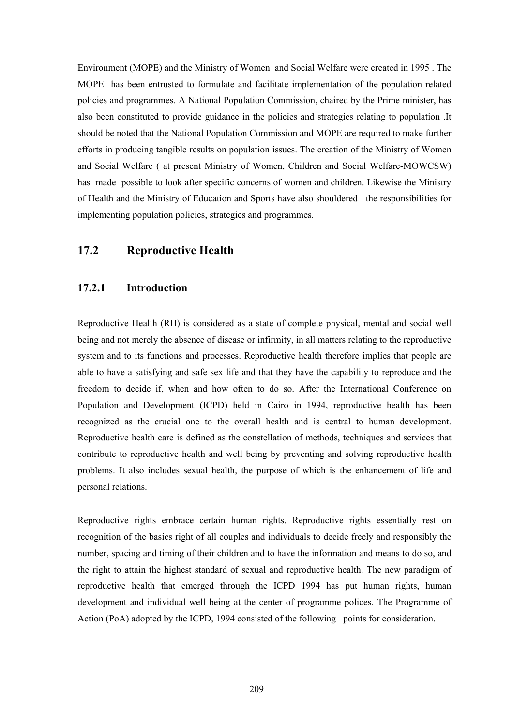Environment (MOPE) and the Ministry of Women and Social Welfare were created in 1995 . The MOPE has been entrusted to formulate and facilitate implementation of the population related policies and programmes. A National Population Commission, chaired by the Prime minister, has also been constituted to provide guidance in the policies and strategies relating to population .It should be noted that the National Population Commission and MOPE are required to make further efforts in producing tangible results on population issues. The creation of the Ministry of Women and Social Welfare ( at present Ministry of Women, Children and Social Welfare-MOWCSW) has made possible to look after specific concerns of women and children. Likewise the Ministry of Health and the Ministry of Education and Sports have also shouldered the responsibilities for implementing population policies, strategies and programmes.

# **17.2 Reproductive Health**

#### **17.2.1 Introduction**

Reproductive Health (RH) is considered as a state of complete physical, mental and social well being and not merely the absence of disease or infirmity, in all matters relating to the reproductive system and to its functions and processes. Reproductive health therefore implies that people are able to have a satisfying and safe sex life and that they have the capability to reproduce and the freedom to decide if, when and how often to do so. After the International Conference on Population and Development (ICPD) held in Cairo in 1994, reproductive health has been recognized as the crucial one to the overall health and is central to human development. Reproductive health care is defined as the constellation of methods, techniques and services that contribute to reproductive health and well being by preventing and solving reproductive health problems. It also includes sexual health, the purpose of which is the enhancement of life and personal relations.

Reproductive rights embrace certain human rights. Reproductive rights essentially rest on recognition of the basics right of all couples and individuals to decide freely and responsibly the number, spacing and timing of their children and to have the information and means to do so, and the right to attain the highest standard of sexual and reproductive health. The new paradigm of reproductive health that emerged through the ICPD 1994 has put human rights, human development and individual well being at the center of programme polices. The Programme of Action (PoA) adopted by the ICPD, 1994 consisted of the following points for consideration.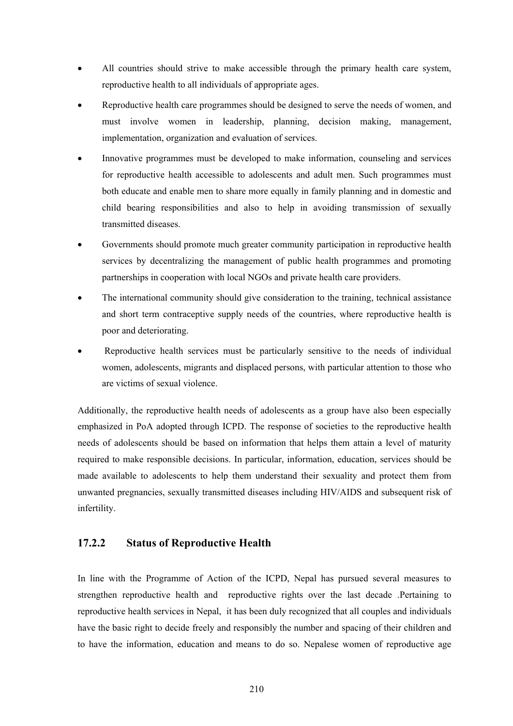- All countries should strive to make accessible through the primary health care system, reproductive health to all individuals of appropriate ages.
- Reproductive health care programmes should be designed to serve the needs of women, and must involve women in leadership, planning, decision making, management, implementation, organization and evaluation of services.
- Innovative programmes must be developed to make information, counseling and services for reproductive health accessible to adolescents and adult men. Such programmes must both educate and enable men to share more equally in family planning and in domestic and child bearing responsibilities and also to help in avoiding transmission of sexually transmitted diseases.
- Governments should promote much greater community participation in reproductive health services by decentralizing the management of public health programmes and promoting partnerships in cooperation with local NGOs and private health care providers.
- The international community should give consideration to the training, technical assistance and short term contraceptive supply needs of the countries, where reproductive health is poor and deteriorating.
- Reproductive health services must be particularly sensitive to the needs of individual women, adolescents, migrants and displaced persons, with particular attention to those who are victims of sexual violence.

Additionally, the reproductive health needs of adolescents as a group have also been especially emphasized in PoA adopted through ICPD. The response of societies to the reproductive health needs of adolescents should be based on information that helps them attain a level of maturity required to make responsible decisions. In particular, information, education, services should be made available to adolescents to help them understand their sexuality and protect them from unwanted pregnancies, sexually transmitted diseases including HIV/AIDS and subsequent risk of infertility.

# **17.2.2 Status of Reproductive Health**

In line with the Programme of Action of the ICPD, Nepal has pursued several measures to strengthen reproductive health and reproductive rights over the last decade .Pertaining to reproductive health services in Nepal, it has been duly recognized that all couples and individuals have the basic right to decide freely and responsibly the number and spacing of their children and to have the information, education and means to do so. Nepalese women of reproductive age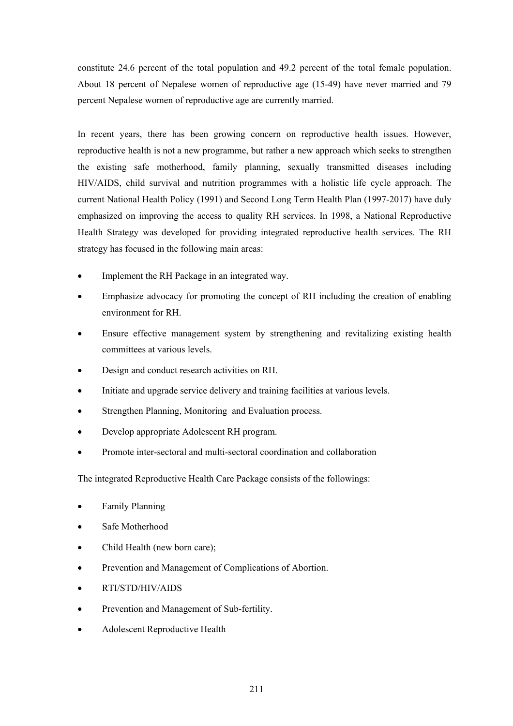constitute 24.6 percent of the total population and 49.2 percent of the total female population. About 18 percent of Nepalese women of reproductive age (15-49) have never married and 79 percent Nepalese women of reproductive age are currently married.

In recent years, there has been growing concern on reproductive health issues. However, reproductive health is not a new programme, but rather a new approach which seeks to strengthen the existing safe motherhood, family planning, sexually transmitted diseases including HIV/AIDS, child survival and nutrition programmes with a holistic life cycle approach. The current National Health Policy (1991) and Second Long Term Health Plan (1997-2017) have duly emphasized on improving the access to quality RH services. In 1998, a National Reproductive Health Strategy was developed for providing integrated reproductive health services. The RH strategy has focused in the following main areas:

- Implement the RH Package in an integrated way.
- Emphasize advocacy for promoting the concept of RH including the creation of enabling environment for RH.
- Ensure effective management system by strengthening and revitalizing existing health committees at various levels.
- Design and conduct research activities on RH.
- Initiate and upgrade service delivery and training facilities at various levels.
- Strengthen Planning, Monitoring and Evaluation process.
- Develop appropriate Adolescent RH program.
- Promote inter-sectoral and multi-sectoral coordination and collaboration

The integrated Reproductive Health Care Package consists of the followings:

- Family Planning
- Safe Motherhood
- Child Health (new born care);
- Prevention and Management of Complications of Abortion.
- RTI/STD/HIV/AIDS
- Prevention and Management of Sub-fertility.
- Adolescent Reproductive Health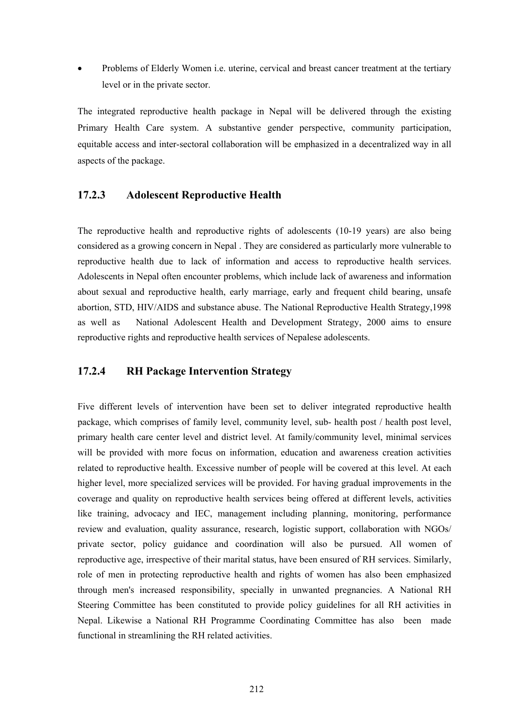• Problems of Elderly Women i.e. uterine, cervical and breast cancer treatment at the tertiary level or in the private sector.

The integrated reproductive health package in Nepal will be delivered through the existing Primary Health Care system. A substantive gender perspective, community participation, equitable access and inter-sectoral collaboration will be emphasized in a decentralized way in all aspects of the package.

# **17.2.3 Adolescent Reproductive Health**

The reproductive health and reproductive rights of adolescents (10-19 years) are also being considered as a growing concern in Nepal . They are considered as particularly more vulnerable to reproductive health due to lack of information and access to reproductive health services. Adolescents in Nepal often encounter problems, which include lack of awareness and information about sexual and reproductive health, early marriage, early and frequent child bearing, unsafe abortion, STD, HIV/AIDS and substance abuse. The National Reproductive Health Strategy,1998 as well as National Adolescent Health and Development Strategy, 2000 aims to ensure reproductive rights and reproductive health services of Nepalese adolescents.

## **17.2.4 RH Package Intervention Strategy**

Five different levels of intervention have been set to deliver integrated reproductive health package, which comprises of family level, community level, sub- health post / health post level, primary health care center level and district level. At family/community level, minimal services will be provided with more focus on information, education and awareness creation activities related to reproductive health. Excessive number of people will be covered at this level. At each higher level, more specialized services will be provided. For having gradual improvements in the coverage and quality on reproductive health services being offered at different levels, activities like training, advocacy and IEC, management including planning, monitoring, performance review and evaluation, quality assurance, research, logistic support, collaboration with NGOs/ private sector, policy guidance and coordination will also be pursued. All women of reproductive age, irrespective of their marital status, have been ensured of RH services. Similarly, role of men in protecting reproductive health and rights of women has also been emphasized through men's increased responsibility, specially in unwanted pregnancies. A National RH Steering Committee has been constituted to provide policy guidelines for all RH activities in Nepal. Likewise a National RH Programme Coordinating Committee has also been made functional in streamlining the RH related activities.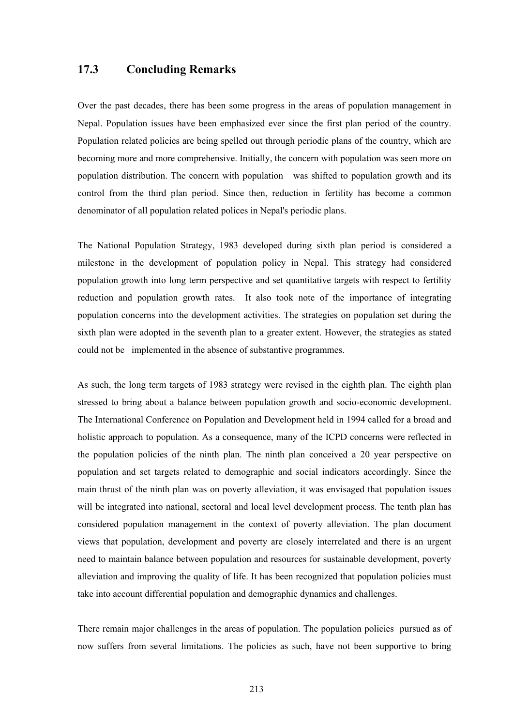## **17.3 Concluding Remarks**

Over the past decades, there has been some progress in the areas of population management in Nepal. Population issues have been emphasized ever since the first plan period of the country. Population related policies are being spelled out through periodic plans of the country, which are becoming more and more comprehensive. Initially, the concern with population was seen more on population distribution. The concern with population was shifted to population growth and its control from the third plan period. Since then, reduction in fertility has become a common denominator of all population related polices in Nepal's periodic plans.

The National Population Strategy, 1983 developed during sixth plan period is considered a milestone in the development of population policy in Nepal. This strategy had considered population growth into long term perspective and set quantitative targets with respect to fertility reduction and population growth rates. It also took note of the importance of integrating population concerns into the development activities. The strategies on population set during the sixth plan were adopted in the seventh plan to a greater extent. However, the strategies as stated could not be implemented in the absence of substantive programmes.

As such, the long term targets of 1983 strategy were revised in the eighth plan. The eighth plan stressed to bring about a balance between population growth and socio-economic development. The International Conference on Population and Development held in 1994 called for a broad and holistic approach to population. As a consequence, many of the ICPD concerns were reflected in the population policies of the ninth plan. The ninth plan conceived a 20 year perspective on population and set targets related to demographic and social indicators accordingly. Since the main thrust of the ninth plan was on poverty alleviation, it was envisaged that population issues will be integrated into national, sectoral and local level development process. The tenth plan has considered population management in the context of poverty alleviation. The plan document views that population, development and poverty are closely interrelated and there is an urgent need to maintain balance between population and resources for sustainable development, poverty alleviation and improving the quality of life. It has been recognized that population policies must take into account differential population and demographic dynamics and challenges.

There remain major challenges in the areas of population. The population policies pursued as of now suffers from several limitations. The policies as such, have not been supportive to bring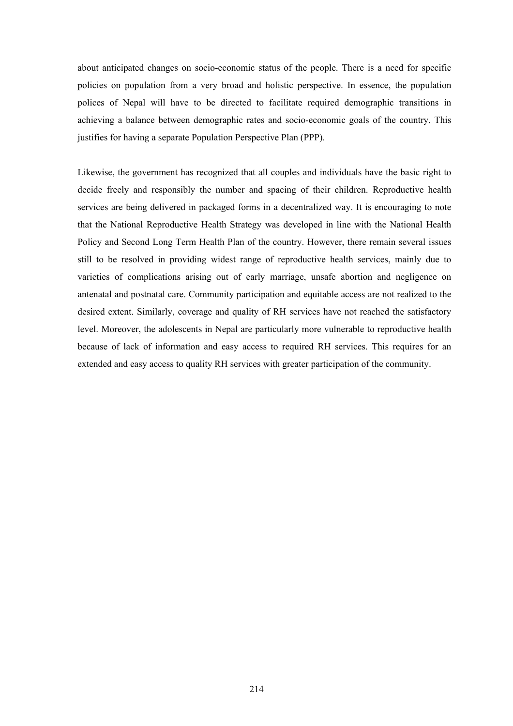about anticipated changes on socio-economic status of the people. There is a need for specific policies on population from a very broad and holistic perspective. In essence, the population polices of Nepal will have to be directed to facilitate required demographic transitions in achieving a balance between demographic rates and socio-economic goals of the country. This justifies for having a separate Population Perspective Plan (PPP).

Likewise, the government has recognized that all couples and individuals have the basic right to decide freely and responsibly the number and spacing of their children. Reproductive health services are being delivered in packaged forms in a decentralized way. It is encouraging to note that the National Reproductive Health Strategy was developed in line with the National Health Policy and Second Long Term Health Plan of the country. However, there remain several issues still to be resolved in providing widest range of reproductive health services, mainly due to varieties of complications arising out of early marriage, unsafe abortion and negligence on antenatal and postnatal care. Community participation and equitable access are not realized to the desired extent. Similarly, coverage and quality of RH services have not reached the satisfactory level. Moreover, the adolescents in Nepal are particularly more vulnerable to reproductive health because of lack of information and easy access to required RH services. This requires for an extended and easy access to quality RH services with greater participation of the community.